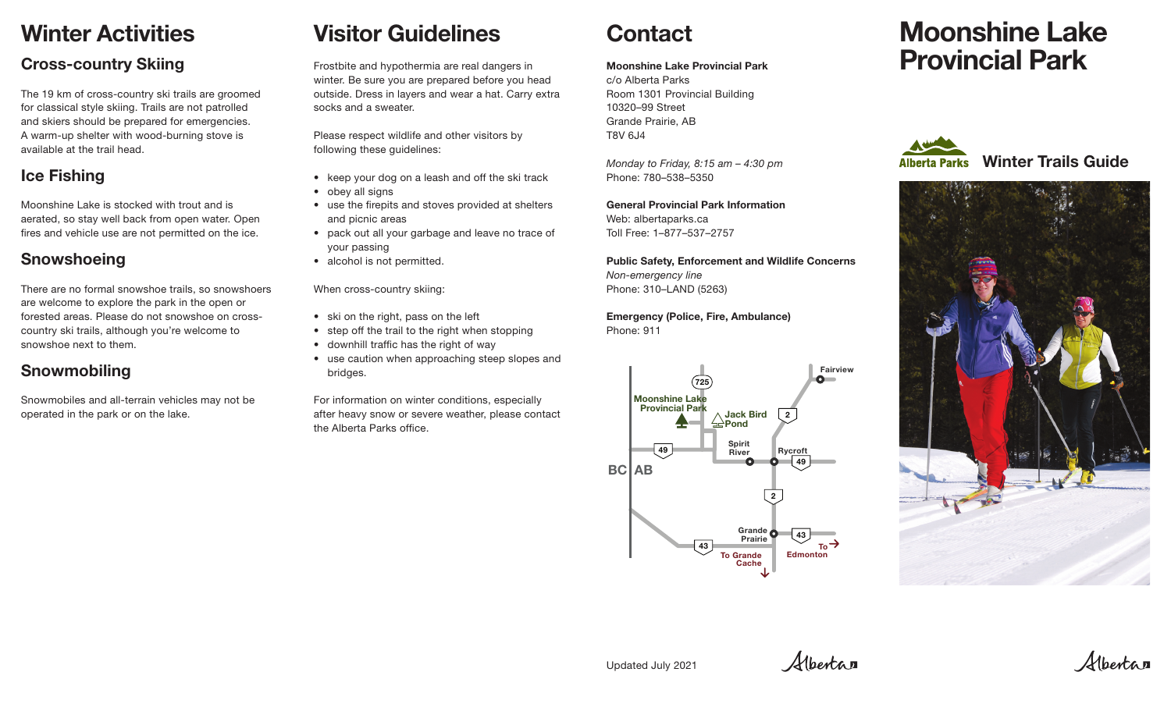## Winter Activities

## Cross-country Skiing

The 19 km of cross-country ski trails are groomed for classical style skiing. Trails are not patrolled and skiers should be prepared for emergencies. A warm-up shelter with wood-burning stove is available at the trail head.

## Ice Fishing

Moonshine Lake is stocked with trout and is aerated, so stay well back from open water. Open fires and vehicle use are not permitted on the ice.

## **Snowshoeing**

There are no formal snowshoe trails, so snowshoers are welcome to explore the park in the open or forested areas. Please do not snowshoe on crosscountry ski trails, although you're welcome to snowshoe next to them.

## Snowmobiling

Snowmobiles and all-terrain vehicles may not be operated in the park or on the lake.

# Visitor Guidelines

Frostbite and hypothermia are real dangers in winter. Be sure you are prepared before you head outside. Dress in layers and wear a hat. Carry extra socks and a sweater.

Please respect wildlife and other visitors by following these guidelines:

- keep your dog on a leash and off the ski track
- obey all signs
- use the firepits and stoves provided at shelters and picnic areas
- pack out all your garbage and leave no trace of your passing
- alcohol is not permitted.

When cross-country skiing:

- ski on the right, pass on the left
- step off the trail to the right when stopping
- downhill traffic has the right of way
- use caution when approaching steep slopes and bridges.

For information on winter conditions, especially after heavy snow or severe weather, please contact the Alberta Parks office.

# **Contact**

#### Moonshine Lake Provincial Park

c/o Alberta Parks Room 1301 Provincial Building 10320–99 Street Grande Prairie, AB T8V 6J4

*Monday to Friday, 8:15 am – 4:30 pm* Phone: 780–538–5350

General Provincial Park Information Web: albertaparks.ca Toll Free: 1–877–537–2757

Public Safety, Enforcement and Wildlife Concerns *Non-emergency line* Phone: 310–LAND (5263)

Emergency (Police, Fire, Ambulance) Phone: 911



# Moonshine Lake Provincial Park